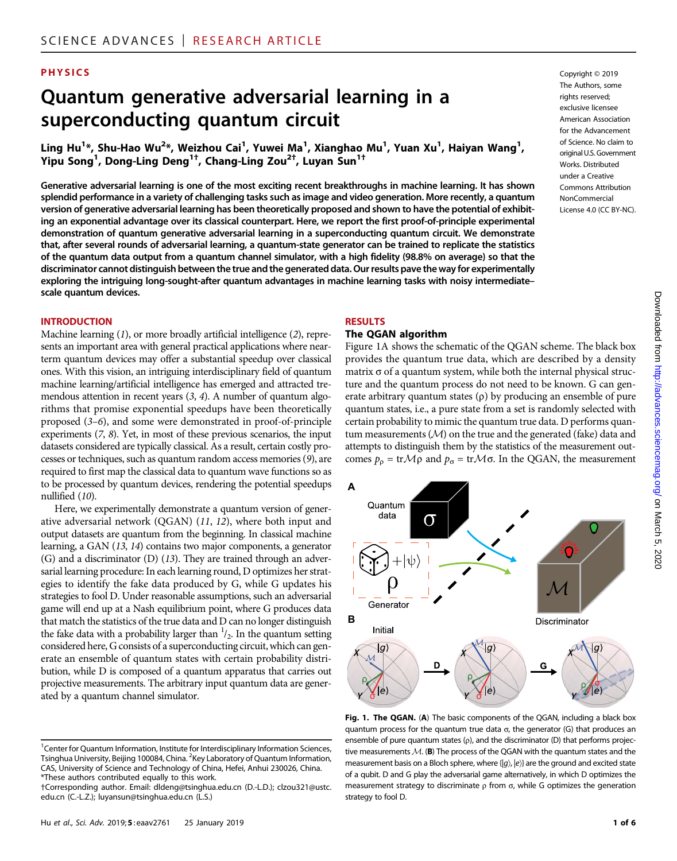#### **PHYSICS** Copyright © 2019

# Quantum generative adversarial learning in a superconducting quantum circuit

Ling Hu<sup>1</sup>\*, Shu-Hao Wu<sup>2</sup>\*, Weizhou Cai<sup>1</sup>, Yuwei Ma<sup>1</sup>, Xianghao Mu<sup>1</sup>, Yuan Xu<sup>1</sup>, Haiyan Wang<sup>1</sup>, Yipu Song<sup>1</sup>, Dong-Ling Deng<sup>1†</sup>, Chang-Ling Zou<sup>2†</sup>, Luyan Sun<sup>1†</sup>

Generative adversarial learning is one of the most exciting recent breakthroughs in machine learning. It has shown splendid performance in a variety of challenging tasks such as image and video generation. More recently, a quantum version of generative adversarial learning has been theoretically proposed and shown to have the potential of exhibiting an exponential advantage over its classical counterpart. Here, we report the first proof-of-principle experimental demonstration of quantum generative adversarial learning in a superconducting quantum circuit. We demonstrate that, after several rounds of adversarial learning, a quantum-state generator can be trained to replicate the statistics of the quantum data output from a quantum channel simulator, with a high fidelity (98.8% on average) so that the discriminator cannot distinguish between the true and the generated data. Our results pave the way for experimentally exploring the intriguing long-sought-after quantum advantages in machine learning tasks with noisy intermediate– scale quantum devices.

#### **INTRODUCTION**

Machine learning (1), or more broadly artificial intelligence (2), represents an important area with general practical applications where nearterm quantum devices may offer a substantial speedup over classical ones. With this vision, an intriguing interdisciplinary field of quantum machine learning/artificial intelligence has emerged and attracted tremendous attention in recent years (3, 4). A number of quantum algorithms that promise exponential speedups have been theoretically proposed (3–6), and some were demonstrated in proof-of-principle experiments (7, 8). Yet, in most of these previous scenarios, the input datasets considered are typically classical. As a result, certain costly processes or techniques, such as quantum random access memories (9), are required to first map the classical data to quantum wave functions so as to be processed by quantum devices, rendering the potential speedups nullified (10).

Here, we experimentally demonstrate a quantum version of generative adversarial network (QGAN) (11, 12), where both input and output datasets are quantum from the beginning. In classical machine learning, a GAN (13, 14) contains two major components, a generator (G) and a discriminator (D) (13). They are trained through an adversarial learning procedure: In each learning round, D optimizes her strategies to identify the fake data produced by G, while G updates his strategies to fool D. Under reasonable assumptions, such an adversarial game will end up at a Nash equilibrium point, where G produces data that match the statistics of the true data and D can no longer distinguish the fake data with a probability larger than  $\frac{1}{2}$ . In the quantum setting considered here, G consists of a superconducting circuit, which can generate an ensemble of quantum states with certain probability distribution, while D is composed of a quantum apparatus that carries out projective measurements. The arbitrary input quantum data are generated by a quantum channel simulator.

#### RESULTS

**B**

**A**

Quantum data

Generator

Initial lg)

∩

D

# The QGAN algorithm

Figure 1A shows the schematic of the QGAN scheme. The black box provides the quantum true data, which are described by a density matrix  $\sigma$  of a quantum system, while both the internal physical structure and the quantum process do not need to be known. G can generate arbitrary quantum states  $(\rho)$  by producing an ensemble of pure quantum states, i.e., a pure state from a set is randomly selected with certain probability to mimic the quantum true data. D performs quantum measurements  $(M)$  on the true and the generated (fake) data and attempts to distinguish them by the statistics of the measurement outcomes  $p_{\rho} = \text{tr} \mathcal{M} \rho$  and  $p_{\sigma} = \text{tr} \mathcal{M} \sigma$ . In the QGAN, the measurement



 $|g\rangle$ 

G

on March 5, 2020 <http://advances.sciencemag.org/> Downloaded from



 $|q\rangle$ 

The Authors, some rights reserved: exclusive licensee American Association

<sup>&</sup>lt;sup>1</sup>Center for Quantum Information, Institute for Interdisciplinary Information Sciences, Tsinghua University, Beijing 100084, China. <sup>2</sup>Key Laboratory of Quantum Information, CAS, University of Science and Technology of China, Hefei, Anhui 230026, China. \*These authors contributed equally to this work.

<sup>†</sup>Corresponding author. Email: dldeng@tsinghua.edu.cn (D.-L.D.); clzou321@ustc. edu.cn (C.-L.Z.); luyansun@tsinghua.edu.cn (L.S.)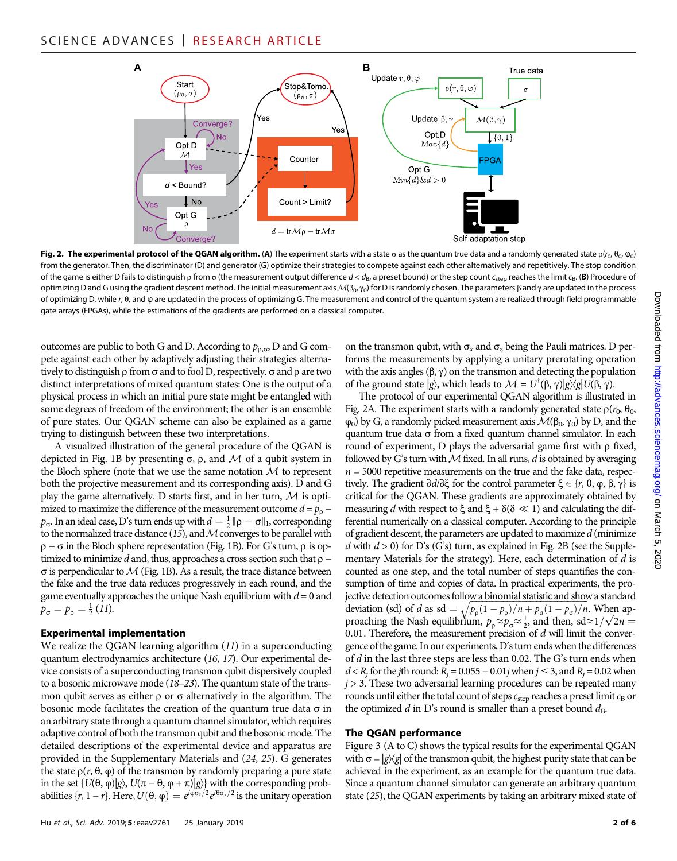

Fig. 2. The experimental protocol of the QGAN algorithm. (A) The experiment starts with a state  $\sigma$  as the quantum true data and a randomly generated state  $\rho(r_0, \theta_0, \phi_0)$ from the generator. Then, the discriminator (D) and generator (G) optimize their strategies to compete against each other alternatively and repetitively. The stop condition of the game is either D fails to distinguish  $\rho$  from  $\sigma$  (the measurement output difference  $d < d_B$ , a preset bound) or the step count  $c_{step}$  reaches the limit  $c_B$ . (B) Procedure of optimizing D and G using the gradient descent method. The initial measurement axis  $\mathcal{M}(\beta_0, \gamma_0)$  for D is randomly chosen. The parameters  $\beta$  and  $\gamma$  are updated in the process of optimizing D, while r, θ, and φ are updated in the process of optimizing G. The measurement and control of the quantum system are realized through field programmable gate arrays (FPGAs), while the estimations of the gradients are performed on a classical computer.

outcomes are public to both G and D. According to  $p_{\rho,\sigma}$ , D and G compete against each other by adaptively adjusting their strategies alternatively to distinguish  $\rho$  from  $\sigma$  and to fool D, respectively.  $\sigma$  and  $\rho$  are two distinct interpretations of mixed quantum states: One is the output of a physical process in which an initial pure state might be entangled with some degrees of freedom of the environment; the other is an ensemble of pure states. Our QGAN scheme can also be explained as a game trying to distinguish between these two interpretations.

A visualized illustration of the general procedure of the QGAN is depicted in Fig. 1B by presenting  $\sigma$ ,  $\rho$ , and  $\cal{M}$  of a qubit system in the Bloch sphere (note that we use the same notation  $M$  to represent both the projective measurement and its corresponding axis). D and G play the game alternatively. D starts first, and in her turn,  $M$  is optimized to maximize the difference of the measurement outcome  $d = p_0$  $p_{\sigma}$ . In an ideal case, D's turn ends up with  $d = \frac{1}{2} \|\rho - \sigma\|_1$ , corresponding to the normalized trace distance (15), and  $M$  converges to be parallel with  $\rho - \sigma$  in the Bloch sphere representation (Fig. 1B). For G's turn,  $\rho$  is optimized to minimize d and, thus, approaches a cross section such that  $\rho$  −  $\sigma$  is perpendicular to  $\mathcal M$  (Fig. 1B). As a result, the trace distance between the fake and the true data reduces progressively in each round, and the game eventually approaches the unique Nash equilibrium with  $d = 0$  and  $p_{\sigma} = p_{\rho} = \frac{1}{2} (11).$ 

### Experimental implementation

We realize the QGAN learning algorithm (11) in a superconducting quantum electrodynamics architecture (16, 17). Our experimental device consists of a superconducting transmon qubit dispersively coupled to a bosonic microwave mode (18–23). The quantum state of the transmon qubit serves as either  $\rho$  or  $\sigma$  alternatively in the algorithm. The bosonic mode facilitates the creation of the quantum true data  $\sigma$  in an arbitrary state through a quantum channel simulator, which requires adaptive control of both the transmon qubit and the bosonic mode. The detailed descriptions of the experimental device and apparatus are provided in the Supplementary Materials and (24, 25). G generates the state  $ρ(r, θ, φ)$  of the transmon by randomly preparing a pure state in the set {*U*(θ, φ)|*g*), *U*( $π$  − θ, φ +  $π$ )|*g*)} with the corresponding probabilities { $r, 1 - r$ }. Here,  $U(\theta, \varphi) = e^{i\varphi \sigma_z/2}e^{i\theta \sigma_x/2}$  is the unitary operation

Hu et al., Sci. Adv. 2019;5: eaav2761 25 January 2019 2 of 6

on the transmon qubit, with  $\sigma_x$  and  $\sigma_z$  being the Pauli matrices. D performs the measurements by applying a unitary prerotating operation with the axis angles  $(\beta, \gamma)$  on the transmon and detecting the population of the ground state  $|g\rangle$ , which leads to  $\mathcal{M} = U^{\dagger}(\beta, \gamma)|g\rangle\langle g|U(\beta, \gamma)$ .

The protocol of our experimental QGAN algorithm is illustrated in Fig. 2A. The experiment starts with a randomly generated state  $\rho(r_0, \theta_0, \theta_0)$  $\varphi_0$ ) by G, a randomly picked measurement axis  $\mathcal{M}(\beta_0, \gamma_0)$  by D, and the quantum true data  $\sigma$  from a fixed quantum channel simulator. In each round of experiment,  $D$  plays the adversarial game first with  $\rho$  fixed, followed by G's turn with  $M$  fixed. In all runs,  $d$  is obtained by averaging  $n = 5000$  repetitive measurements on the true and the fake data, respectively. The gradient  $\partial d/\partial \xi$  for the control parameter  $\xi \in \{r, \theta, \varphi, \beta, \gamma\}$  is critical for the QGAN. These gradients are approximately obtained by measuring d with respect to  $\xi$  and  $\xi + \delta(\delta \ll 1)$  and calculating the differential numerically on a classical computer. According to the principle of gradient descent, the parameters are updated to maximize  $d$  (minimize d with  $d > 0$ ) for D's (G's) turn, as explained in Fig. 2B (see the Supplementary Materials for the strategy). Here, each determination of d is counted as one step, and the total number of steps quantifies the consumption of time and copies of data. In practical experiments, the projective detection outcomes follow a binomial statistic and show a standard deviation (sd) of *d* as sd =  $\sqrt{p_{\rho}(1-p_{\rho})/n + p_{\sigma}(1-p_{\sigma})/n}$ . When approaching the Nash equilibrium,  $p_p \approx p_\sigma \approx \frac{1}{2}$ , and then, sd≈1/ $\sqrt{2n}$  = 0.01. Therefore, the measurement precision of  $d$  will limit the convergence of the game. In our experiments, D's turn ends when the differences of d in the last three steps are less than 0.02. The G's turn ends when  $d < R_i$  for the jth round:  $R_i = 0.055 - 0.01j$  when  $j \le 3$ , and  $R_i = 0.02$  when  $j > 3$ . These two adversarial learning procedures can be repeated many rounds until either the total count of steps  $c_{step}$  reaches a preset limit  $c_B$  or the optimized  $d$  in D's round is smaller than a preset bound  $d_{\text{B}}$ .

#### The QGAN performance

Figure 3 (A to C) shows the typical results for the experimental QGAN with  $\sigma = |g\rangle\langle g|$  of the transmon qubit, the highest purity state that can be achieved in the experiment, as an example for the quantum true data. Since a quantum channel simulator can generate an arbitrary quantum state (25), the QGAN experiments by taking an arbitrary mixed state of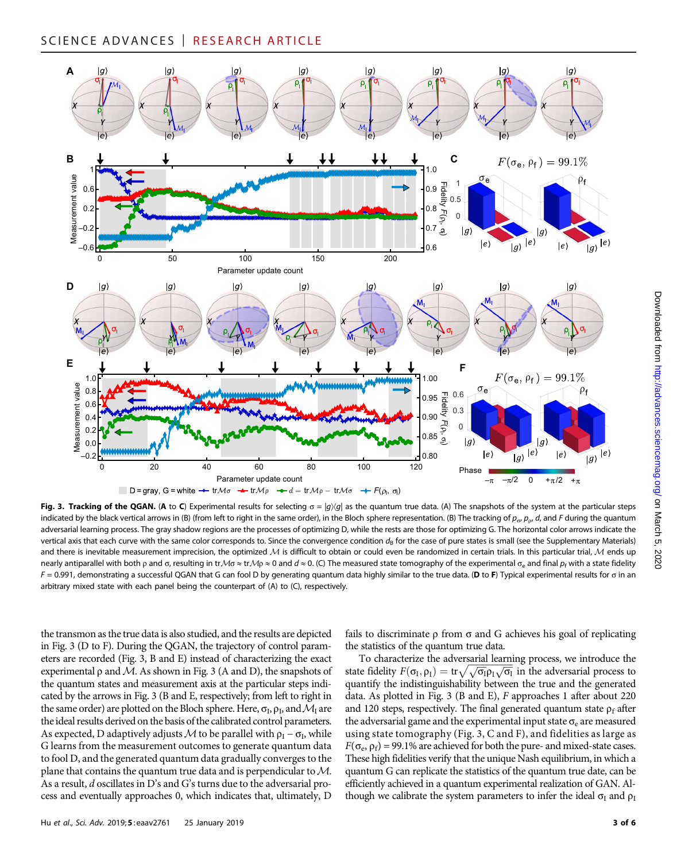

Fig. 3. Tracking of the QGAN. (A to C) Experimental results for selecting  $\sigma = |g\rangle\langle g|$  as the quantum true data. (A) The snapshots of the system at the particular steps indicated by the black vertical arrows in (B) (from left to right in the same order), in the Bloch sphere representation. (B) The tracking of  $p_{\sigma}$ ,  $p_{\rho}$ , d, and F during the quantum adversarial learning process. The gray shadow regions are the processes of optimizing D, while the rests are those for optimizing G. The horizontal color arrows indicate the vertical axis that each curve with the same color corresponds to. Since the convergence condition  $d_B$  for the case of pure states is small (see the Supplementary Materials) and there is inevitable measurement imprecision, the optimized  $M$  is difficult to obtain or could even be randomized in certain trials. In this particular trial,  $M$  ends up nearly antiparallel with both p and  $\sigma$ , resulting in tr $M\sigma \approx$  tr $M\sigma \approx 0$  and  $d \approx 0$ . (C) The measured state tomography of the experimental  $\sigma_e$  and final  $p_f$  with a state fidelity  $F = 0.991$ , demonstrating a successful QGAN that G can fool D by generating quantum data highly similar to the true data. (D to F) Typical experimental results for o in an arbitrary mixed state with each panel being the counterpart of (A) to (C), respectively.

the transmon as the true data is also studied, and the results are depicted in Fig. 3 (D to F). During the QGAN, the trajectory of control parameters are recorded (Fig. 3, B and E) instead of characterizing the exact experimental  $\rho$  and M. As shown in Fig. 3 (A and D), the snapshots of the quantum states and measurement axis at the particular steps indicated by the arrows in Fig. 3 (B and E, respectively; from left to right in the same order) are plotted on the Bloch sphere. Here,  $\sigma_{I}$ ,  $\rho_{I}$ , and  $\mathcal{M}_{I}$  are the ideal results derived on the basis of the calibrated control parameters. As expected, D adaptively adjusts M to be parallel with  $\rho_I - \sigma_I$ , while G learns from the measurement outcomes to generate quantum data to fool D, and the generated quantum data gradually converges to the plane that contains the quantum true data and is perpendicular to  $M$ . As a result, d oscillates in D's and G's turns due to the adversarial process and eventually approaches 0, which indicates that, ultimately, D

fails to discriminate  $\rho$  from  $\sigma$  and G achieves his goal of replicating the statistics of the quantum true data.

To characterize the adversarial learning process, we introduce the state fidelity  $F(\sigma_I, \rho_I) = \text{tr} \sqrt{\sqrt{\sigma_I} \rho_I \sqrt{\sigma_I}}$  in the adversarial process to quantify the indistinguishability between the true and the generated data. As plotted in Fig. 3 (B and E), F approaches 1 after about 220 and 120 steps, respectively. The final generated quantum state  $\rho_f$  after the adversarial game and the experimental input state  $\sigma_e$  are measured using state tomography (Fig. 3, C and F), and fidelities as large as  $F(\sigma_e, \rho_f) = 99.1\%$  are achieved for both the pure- and mixed-state cases. These high fidelities verify that the unique Nash equilibrium, in which a quantum G can replicate the statistics of the quantum true date, can be efficiently achieved in a quantum experimental realization of GAN. Although we calibrate the system parameters to infer the ideal  $\sigma_I$  and  $\rho_I$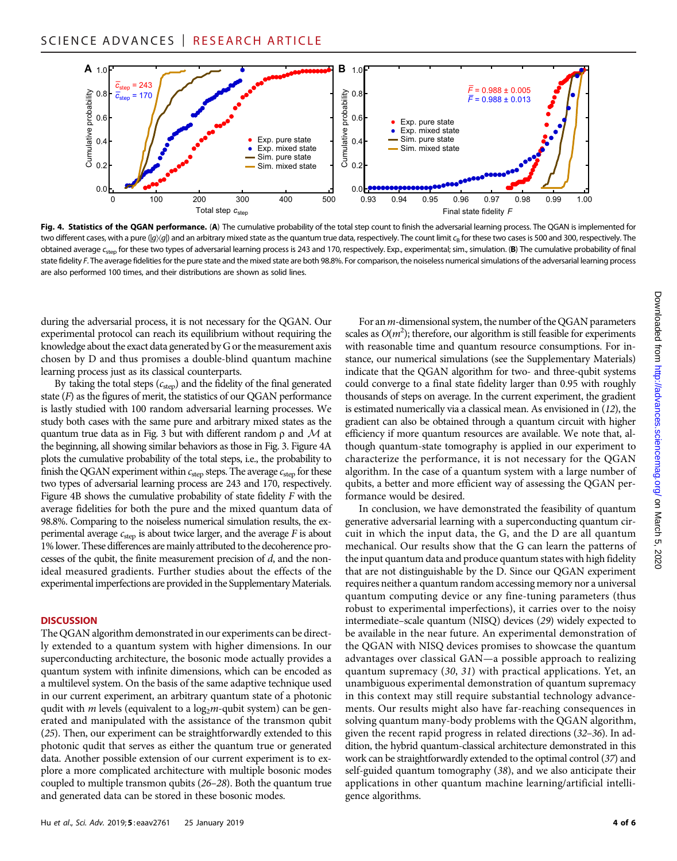

Fig. 4. Statistics of the QGAN performance. (A) The cumulative probability of the total step count to finish the adversarial learning process. The QGAN is implemented for two different cases, with a pure  $(|q\rangle\langle q|)$  and an arbitrary mixed state as the quantum true data, respectively. The count limit  $c_R$  for these two cases is 500 and 300, respectively. The obtained average c<sub>step</sub> for these two types of adversarial learning process is 243 and 170, respectively. Exp., experimental; sim., simulation. (B) The cumulative probability of final state fidelity F. The average fidelities for the pure state and the mixed state are both 98.8%. For comparison, the noiseless numerical simulations of the adversarial learning process are also performed 100 times, and their distributions are shown as solid lines.

during the adversarial process, it is not necessary for the QGAN. Our experimental protocol can reach its equilibrium without requiring the knowledge about the exact data generated by G or the measurement axis chosen by D and thus promises a double-blind quantum machine learning process just as its classical counterparts.

By taking the total steps  $(c_{step})$  and the fidelity of the final generated state  $(F)$  as the figures of merit, the statistics of our QGAN performance is lastly studied with 100 random adversarial learning processes. We study both cases with the same pure and arbitrary mixed states as the quantum true data as in Fig. 3 but with different random  $\rho$  and M at the beginning, all showing similar behaviors as those in Fig. 3. Figure 4A plots the cumulative probability of the total steps, i.e., the probability to finish the QGAN experiment within  $c_{step}$  steps. The average  $c_{step}$  for these two types of adversarial learning process are 243 and 170, respectively. Figure 4B shows the cumulative probability of state fidelity  $F$  with the average fidelities for both the pure and the mixed quantum data of 98.8%. Comparing to the noiseless numerical simulation results, the experimental average  $c_{step}$  is about twice larger, and the average  $F$  is about 1% lower. These differences are mainly attributed to the decoherence processes of the qubit, the finite measurement precision of d, and the nonideal measured gradients. Further studies about the effects of the experimental imperfections are provided in the Supplementary Materials.

#### **DISCUSSION**

The QGAN algorithm demonstrated in our experiments can be directly extended to a quantum system with higher dimensions. In our superconducting architecture, the bosonic mode actually provides a quantum system with infinite dimensions, which can be encoded as a multilevel system. On the basis of the same adaptive technique used in our current experiment, an arbitrary quantum state of a photonic qudit with *m* levels (equivalent to a  $log<sub>2</sub>m$ -qubit system) can be generated and manipulated with the assistance of the transmon qubit (25). Then, our experiment can be straightforwardly extended to this photonic qudit that serves as either the quantum true or generated data. Another possible extension of our current experiment is to explore a more complicated architecture with multiple bosonic modes coupled to multiple transmon qubits (26–28). Both the quantum true and generated data can be stored in these bosonic modes.

For an  $m$ -dimensional system, the number of the QGAN parameters scales as  $O(m^2)$ ; therefore, our algorithm is still feasible for experiments with reasonable time and quantum resource consumptions. For instance, our numerical simulations (see the Supplementary Materials) indicate that the QGAN algorithm for two- and three-qubit systems could converge to a final state fidelity larger than 0.95 with roughly thousands of steps on average. In the current experiment, the gradient is estimated numerically via a classical mean. As envisioned in (12), the gradient can also be obtained through a quantum circuit with higher efficiency if more quantum resources are available. We note that, although quantum-state tomography is applied in our experiment to characterize the performance, it is not necessary for the QGAN algorithm. In the case of a quantum system with a large number of qubits, a better and more efficient way of assessing the QGAN performance would be desired.

In conclusion, we have demonstrated the feasibility of quantum generative adversarial learning with a superconducting quantum circuit in which the input data, the G, and the D are all quantum mechanical. Our results show that the G can learn the patterns of the input quantum data and produce quantum states with high fidelity that are not distinguishable by the D. Since our QGAN experiment requires neither a quantum random accessing memory nor a universal quantum computing device or any fine-tuning parameters (thus robust to experimental imperfections), it carries over to the noisy intermediate–scale quantum (NISQ) devices (29) widely expected to be available in the near future. An experimental demonstration of the QGAN with NISQ devices promises to showcase the quantum advantages over classical GAN—a possible approach to realizing quantum supremacy (30, 31) with practical applications. Yet, an unambiguous experimental demonstration of quantum supremacy in this context may still require substantial technology advancements. Our results might also have far-reaching consequences in solving quantum many-body problems with the QGAN algorithm, given the recent rapid progress in related directions (32–36). In addition, the hybrid quantum-classical architecture demonstrated in this work can be straightforwardly extended to the optimal control (37) and self-guided quantum tomography (38), and we also anticipate their applications in other quantum machine learning/artificial intelligence algorithms.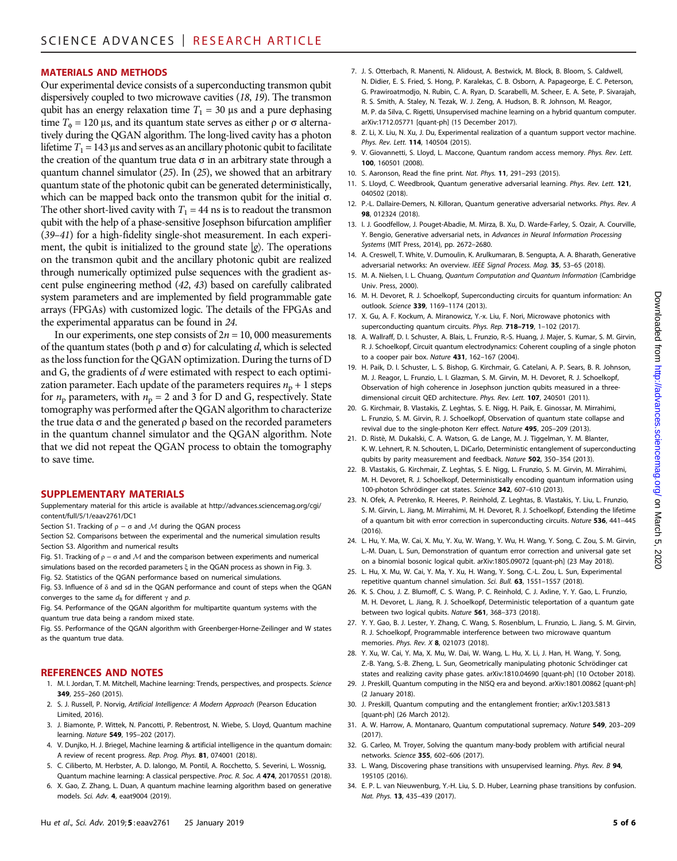#### MATERIALS AND METHODS

Our experimental device consists of a superconducting transmon qubit dispersively coupled to two microwave cavities (18, 19). The transmon qubit has an energy relaxation time  $T_1 = 30 \,\mu s$  and a pure dephasing time  $T_{\phi} = 120 \,\mu s$ , and its quantum state serves as either  $\rho$  or  $\sigma$  alternatively during the QGAN algorithm. The long-lived cavity has a photon lifetime  $T_1 = 143$  µs and serves as an ancillary photonic qubit to facilitate the creation of the quantum true data  $\sigma$  in an arbitrary state through a quantum channel simulator (25). In (25), we showed that an arbitrary quantum state of the photonic qubit can be generated deterministically, which can be mapped back onto the transmon qubit for the initial  $\sigma$ . The other short-lived cavity with  $T_1 = 44$  ns is to readout the transmon qubit with the help of a phase-sensitive Josephson bifurcation amplifier (39–41) for a high-fidelity single-shot measurement. In each experiment, the qubit is initialized to the ground state  $|g\rangle$ . The operations on the transmon qubit and the ancillary photonic qubit are realized through numerically optimized pulse sequences with the gradient ascent pulse engineering method (42, 43) based on carefully calibrated system parameters and are implemented by field programmable gate arrays (FPGAs) with customized logic. The details of the FPGAs and the experimental apparatus can be found in 24.

In our experiments, one step consists of  $2n = 10,000$  measurements of the quantum states (both  $\rho$  and  $\sigma$ ) for calculating d, which is selected as the loss function for the QGAN optimization. During the turns of D and G, the gradients of d were estimated with respect to each optimization parameter. Each update of the parameters requires  $n_p + 1$  steps for  $n_p$  parameters, with  $n_p = 2$  and 3 for D and G, respectively. State tomography was performed after the QGAN algorithm to characterize the true data  $\sigma$  and the generated  $\rho$  based on the recorded parameters in the quantum channel simulator and the QGAN algorithm. Note that we did not repeat the QGAN process to obtain the tomography to save time.

#### SUPPLEMENTARY MATERIALS

Supplementary material for this article is available at [http://advances.sciencemag.org/cgi/](http://advances.sciencemag.org/cgi/content/full/5/1/eaav2761/DC1) [content/full/5/1/eaav2761/DC1](http://advances.sciencemag.org/cgi/content/full/5/1/eaav2761/DC1)

- Section S1. Tracking of  $\rho \sigma$  and M during the OGAN process
- Section S2. Comparisons between the experimental and the numerical simulation results Section S3. Algorithm and numerical results
- Fig. S1. Tracking of  $\rho \sigma$  and M and the comparison between experiments and numerical simulations based on the recorded parameters  $\xi$  in the QGAN process as shown in Fig. 3.
- Fig. S2. Statistics of the QGAN performance based on numerical simulations.

Fig. S3. Influence of  $\delta$  and sd in the QGAN performance and count of steps when the QGAN converges to the same  $d_{\rm B}$  for different  $\gamma$  and p.

Fig. S4. Performance of the QGAN algorithm for multipartite quantum systems with the quantum true data being a random mixed state.

Fig. S5. Performance of the QGAN algorithm with Greenberger-Horne-Zeilinger and W states as the quantum true data.

#### REFERENCES AND NOTES

- 1. M. I. Jordan, T. M. Mitchell, Machine learning: Trends, perspectives, and prospects. Science 349, 255–260 (2015).
- 2. S. J. Russell, P. Norvig, Artificial Intelligence: A Modern Approach (Pearson Education Limited, 2016).
- 3. J. Biamonte, P. Wittek, N. Pancotti, P. Rebentrost, N. Wiebe, S. Lloyd, Quantum machine learning. Nature 549, 195–202 (2017).
- 4. V. Dunjko, H. J. Briegel, Machine learning & artificial intelligence in the quantum domain: A review of recent progress. Rep. Prog. Phys. 81, 074001 (2018).
- 5. C. Ciliberto, M. Herbster, A. D. Ialongo, M. Pontil, A. Rocchetto, S. Severini, L. Wossnig,
- Quantum machine learning: A classical perspective. Proc. R. Soc. A 474, 20170551 (2018). 6. X. Gao, Z. Zhang, L. Duan, A quantum machine learning algorithm based on generative models. Sci. Adv. 4, eaat9004 (2019).
- 7. J. S. Otterbach, R. Manenti, N. Alidoust, A. Bestwick, M. Block, B. Bloom, S. Caldwell, N. Didier, E. S. Fried, S. Hong, P. Karalekas, C. B. Osborn, A. Papageorge, E. C. Peterson, G. Prawiroatmodjo, N. Rubin, C. A. Ryan, D. Scarabelli, M. Scheer, E. A. Sete, P. Sivarajah, R. S. Smith, A. Staley, N. Tezak, W. J. Zeng, A. Hudson, B. R. Johnson, M. Reagor, M. P. da Silva, C. Rigetti, Unsupervised machine learning on a hybrid quantum computer. [arXiv:1712.05771](https://arxiv.org/abs/1712.05771) [quant-ph] (15 December 2017).
- 8. Z. Li, X. Liu, N. Xu, J. Du, Experimental realization of a quantum support vector machine. Phys. Rev. Lett. 114, 140504 (2015).
- 9. V. Giovannetti, S. Lloyd, L. Maccone, Quantum random access memory. Phys. Rev. Lett. 100, 160501 (2008).
- 10. S. Aaronson, Read the fine print. Nat. Phys. 11, 291–293 (2015).
- 11. S. Lloyd, C. Weedbrook, Quantum generative adversarial learning. Phys. Rev. Lett. 121, 040502 (2018).
- 12. P.-L. Dallaire-Demers, N. Killoran, Quantum generative adversarial networks. Phys. Rev. A 98, 012324 (2018).
- 13. I. J. Goodfellow, J. Pouget-Abadie, M. Mirza, B. Xu, D. Warde-Farley, S. Ozair, A. Courville, Y. Bengio, Generative adversarial nets, in Advances in Neural Information Processing Systems (MIT Press, 2014), pp. 2672–2680.
- 14. A. Creswell, T. White, V. Dumoulin, K. Arulkumaran, B. Sengupta, A. A. Bharath, Generative adversarial networks: An overview. IEEE Signal Process. Mag. 35, 53-65 (2018).
- 15. M. A. Nielsen, I. L. Chuang, Quantum Computation and Quantum Information (Cambridge Univ. Press, 2000).
- 16. M. H. Devoret, R. J. Schoelkopf, Superconducting circuits for quantum information: An outlook. Science 339, 1169–1174 (2013).
- 17. X. Gu, A. F. Kockum, A. Miranowicz, Y.-x. Liu, F. Nori, Microwave photonics with superconducting quantum circuits. Phys. Rep. 718-719, 1-102 (2017).
- 18. A. Wallraff, D. I. Schuster, A. Blais, L. Frunzio, R.-S. Huang, J. Majer, S. Kumar, S. M. Girvin, R. J. Schoelkopf, Circuit quantum electrodynamics: Coherent coupling of a single photon to a cooper pair box. Nature 431, 162–167 (2004).
- 19. H. Paik, D. I. Schuster, L. S. Bishop, G. Kirchmair, G. Catelani, A. P. Sears, B. R. Johnson, M. J. Reagor, L. Frunzio, L. I. Glazman, S. M. Girvin, M. H. Devoret, R. J. Schoelkopf, Observation of high coherence in Josephson junction qubits measured in a threedimensional circuit QED architecture. Phys. Rev. Lett. 107, 240501 (2011).
- 20. G. Kirchmair, B. Vlastakis, Z. Leghtas, S. E. Nigg, H. Paik, E. Ginossar, M. Mirrahimi, L. Frunzio, S. M. Girvin, R. J. Schoelkopf, Observation of quantum state collapse and revival due to the single-photon Kerr effect. Nature 495, 205–209 (2013).
- 21. D. Ristè, M. Dukalski, C. A. Watson, G. de Lange, M. J. Tiggelman, Y. M. Blanter, K. W. Lehnert, R. N. Schouten, L. DiCarlo, Deterministic entanglement of superconducting qubits by parity measurement and feedback. Nature 502, 350–354 (2013).
- 22. B. Vlastakis, G. Kirchmair, Z. Leghtas, S. E. Nigg, L. Frunzio, S. M. Girvin, M. Mirrahimi, M. H. Devoret, R. J. Schoelkopf, Deterministically encoding quantum information using 100-photon Schrödinger cat states. Science 342, 607–610 (2013).
- 23. N. Ofek, A. Petrenko, R. Heeres, P. Reinhold, Z. Leghtas, B. Vlastakis, Y. Liu, L. Frunzio, S. M. Girvin, L. Jiang, M. Mirrahimi, M. H. Devoret, R. J. Schoelkopf, Extending the lifetime of a quantum bit with error correction in superconducting circuits. Nature 536, 441–445  $(2016)$
- 24. L. Hu, Y. Ma, W. Cai, X. Mu, Y. Xu, W. Wang, Y. Wu, H. Wang, Y. Song, C. Zou, S. M. Girvin, L.-M. Duan, L. Sun, Demonstration of quantum error correction and universal gate set on a binomial bosonic logical qubit. [arXiv:1805.09072](https://arxiv.org/abs/1805.09072) [quant-ph] (23 May 2018).
- 25. L. Hu, X. Mu, W. Cai, Y. Ma, Y. Xu, H. Wang, Y. Song, C.-L. Zou, L. Sun, Experimental repetitive quantum channel simulation. Sci. Bull. 63, 1551–1557 (2018).
- 26. K. S. Chou, J. Z. Blumoff, C. S. Wang, P. C. Reinhold, C. J. Axline, Y. Y. Gao, L. Frunzio, M. H. Devoret, L. Jiang, R. J. Schoelkopf, Deterministic teleportation of a quantum gate between two logical qubits. Nature 561, 368–373 (2018).
- 27. Y. Y. Gao, B. J. Lester, Y. Zhang, C. Wang, S. Rosenblum, L. Frunzio, L. Jiang, S. M. Girvin, R. J. Schoelkopf, Programmable interference between two microwave quantum memories. Phys. Rev. X 8, 021073 (2018).
- 28. Y. Xu, W. Cai, Y. Ma, X. Mu, W. Dai, W. Wang, L. Hu, X. Li, J. Han, H. Wang, Y. Song, Z.-B. Yang, S.-B. Zheng, L. Sun, Geometrically manipulating photonic Schrödinger cat states and realizing cavity phase gates. [arXiv:1810.04690](https://arxiv.org/abs/1810.04690) [quant-ph] (10 October 2018).
- 29. J. Preskill, Quantum computing in the NISQ era and beyond. [arXiv:1801.00862](https://arxiv.org/abs/1801.00862) [quant-ph] (2 January 2018).
- 30. J. Preskill, Quantum computing and the entanglement frontier; [arXiv:1203.5813](https://arxiv.org/abs/1203.5813) [quant-ph] (26 March 2012).
- 31. A. W. Harrow, A. Montanaro, Quantum computational supremacy. Nature 549, 203–209 (2017).
- 32. G. Carleo, M. Troyer, Solving the quantum many-body problem with artificial neural networks. Science 355, 602–606 (2017).
- 33. L. Wang, Discovering phase transitions with unsupervised learning. Phys. Rev. B 94, 195105 (2016).
- 34. E. P. L. van Nieuwenburg, Y.-H. Liu, S. D. Huber, Learning phase transitions by confusion. Nat. Phys. 13, 435–439 (2017).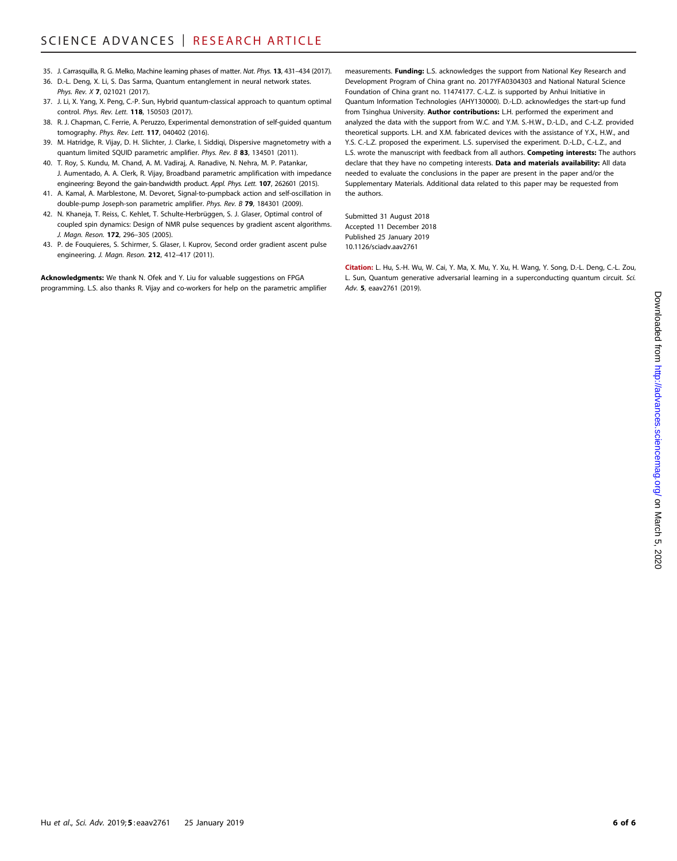- 35. J. Carrasquilla, R. G. Melko, Machine learning phases of matter. Nat. Phys. 13, 431-434 (2017).
- 36. D.-L. Deng, X. Li, S. Das Sarma, Quantum entanglement in neural network states. Phys. Rev. X 7, 021021 (2017).
- 37. J. Li, X. Yang, X. Peng, C.-P. Sun, Hybrid quantum-classical approach to quantum optimal control. Phys. Rev. Lett. 118, 150503 (2017).
- 38. R. J. Chapman, C. Ferrie, A. Peruzzo, Experimental demonstration of self-guided quantum tomography. Phys. Rev. Lett. 117, 040402 (2016).
- 39. M. Hatridge, R. Vijay, D. H. Slichter, J. Clarke, I. Siddiqi, Dispersive magnetometry with a quantum limited SQUID parametric amplifier. Phys. Rev. B 83, 134501 (2011).
- 40. T. Roy, S. Kundu, M. Chand, A. M. Vadiraj, A. Ranadive, N. Nehra, M. P. Patankar, J. Aumentado, A. A. Clerk, R. Vijay, Broadband parametric amplification with impedance engineering: Beyond the gain-bandwidth product. Appl. Phys. Lett. 107, 262601 (2015).
- 41. A. Kamal, A. Marblestone, M. Devoret, Signal-to-pumpback action and self-oscillation in double-pump Joseph-son parametric amplifier. Phys. Rev. B 79, 184301 (2009).
- 42. N. Khaneja, T. Reiss, C. Kehlet, T. Schulte-Herbrüggen, S. J. Glaser, Optimal control of coupled spin dynamics: Design of NMR pulse sequences by gradient ascent algorithms. J. Magn. Reson. 172, 296-305 (2005).
- 43. P. de Fouquieres, S. Schirmer, S. Glaser, I. Kuprov, Second order gradient ascent pulse engineering. J. Magn. Reson. 212, 412–417 (2011).

Acknowledgments: We thank N. Ofek and Y. Liu for valuable suggestions on FPGA programming. L.S. also thanks R. Vijay and co-workers for help on the parametric amplifier

measurements. Funding: L.S. acknowledges the support from National Key Research and Development Program of China grant no. 2017YFA0304303 and National Natural Science Foundation of China grant no. 11474177. C.-L.Z. is supported by Anhui Initiative in Quantum Information Technologies (AHY130000). D.-L.D. acknowledges the start-up fund from Tsinghua University. Author contributions: L.H. performed the experiment and analyzed the data with the support from W.C. and Y.M. S.-H.W., D.-L.D., and C.-L.Z. provided theoretical supports. L.H. and X.M. fabricated devices with the assistance of Y.X., H.W., and Y.S. C.-L.Z. proposed the experiment. L.S. supervised the experiment. D.-L.D., C.-L.Z., and L.S. wrote the manuscript with feedback from all authors. **Competing interests:** The authors declare that they have no competing interests. Data and materials availability: All data needed to evaluate the conclusions in the paper are present in the paper and/or the Supplementary Materials. Additional data related to this paper may be requested from the authors.

Submitted 31 August 2018 Accepted 11 December 2018 Published 25 January 2019 10.1126/sciadv.aav2761

Citation: L. Hu, S.-H. Wu, W. Cai, Y. Ma, X. Mu, Y. Xu, H. Wang, Y. Song, D.-L. Deng, C.-L. Zou, L. Sun, Quantum generative adversarial learning in a superconducting quantum circuit. Sci. Adv. 5, eaav2761 (2019).